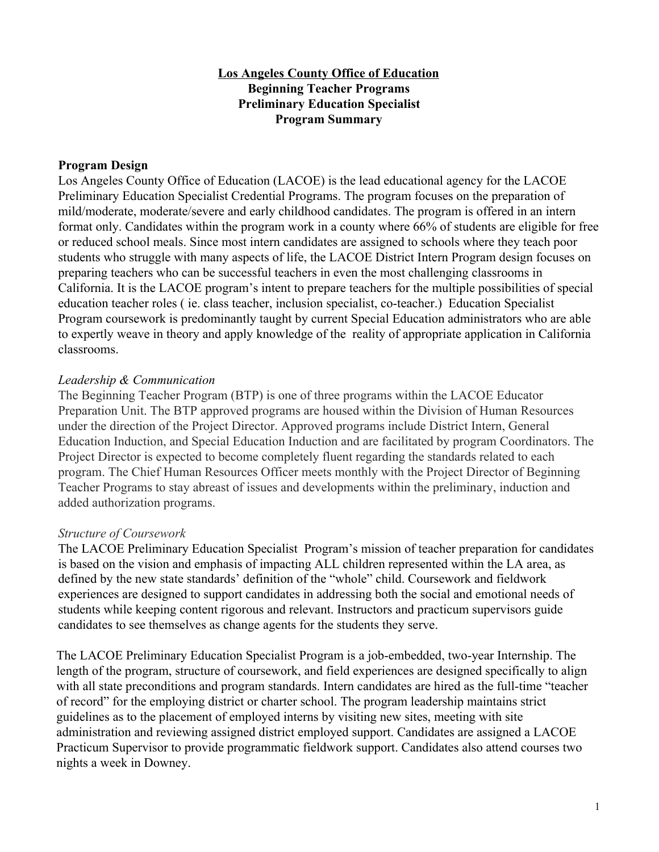# **Los Angeles County Office of Education Beginning Teacher Programs Preliminary Education Specialist Program Summary**

## **Program Design**

Los Angeles County Office of Education (LACOE) is the lead educational agency for the LACOE Preliminary Education Specialist Credential Programs. The program focuses on the preparation of mild/moderate, moderate/severe and early childhood candidates. The program is offered in an intern format only. Candidates within the program work in a county where 66% of students are eligible for free or reduced school meals. Since most intern candidates are assigned to schools where they teach poor students who struggle with many aspects of life, the LACOE District Intern Program design focuses on preparing teachers who can be successful teachers in even the most challenging classrooms in California. It is the LACOE program's intent to prepare teachers for the multiple possibilities of special education teacher roles ( ie. class teacher, inclusion specialist, co-teacher.) Education Specialist Program coursework is predominantly taught by current Special Education administrators who are able to expertly weave in theory and apply knowledge of the reality of appropriate application in California classrooms.

## *Leadership & Communication*

The Beginning Teacher Program (BTP) is one of three programs within the LACOE Educator Preparation Unit. The BTP approved programs are housed within the Division of Human Resources under the direction of the Project Director. Approved programs include District Intern, General Education Induction, and Special Education Induction and are facilitated by program Coordinators. The Project Director is expected to become completely fluent regarding the standards related to each program. The Chief Human Resources Officer meets monthly with the Project Director of Beginning Teacher Programs to stay abreast of issues and developments within the preliminary, induction and added authorization programs.

# *Structure of Coursework*

The LACOE Preliminary Education Specialist Program's mission of teacher preparation for candidates is based on the vision and emphasis of impacting ALL children represented within the LA area, as defined by the new state standards' definition of the "whole" child. Coursework and fieldwork experiences are designed to support candidates in addressing both the social and emotional needs of students while keeping content rigorous and relevant. Instructors and practicum supervisors guide candidates to see themselves as change agents for the students they serve.

The LACOE Preliminary Education Specialist Program is a job-embedded, two-year Internship. The length of the program, structure of coursework, and field experiences are designed specifically to align with all state preconditions and program standards. Intern candidates are hired as the full-time "teacher of record" for the employing district or charter school. The program leadership maintains strict guidelines as to the placement of employed interns by visiting new sites, meeting with site administration and reviewing assigned district employed support. Candidates are assigned a LACOE Practicum Supervisor to provide programmatic fieldwork support. Candidates also attend courses two nights a week in Downey.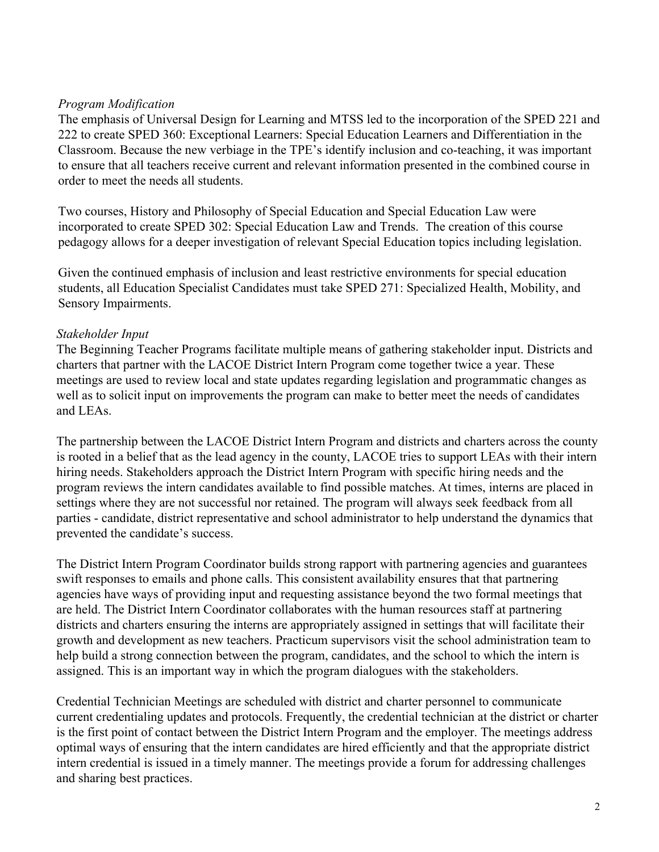# *Program Modification*

The emphasis of Universal Design for Learning and MTSS led to the incorporation of the SPED 221 and 222 to create SPED 360: Exceptional Learners: Special Education Learners and Differentiation in the Classroom. Because the new verbiage in the TPE's identify inclusion and co-teaching, it was important to ensure that all teachers receive current and relevant information presented in the combined course in order to meet the needs all students.

Two courses, History and Philosophy of Special Education and Special Education Law were incorporated to create SPED 302: Special Education Law and Trends. The creation of this course pedagogy allows for a deeper investigation of relevant Special Education topics including legislation.

Given the continued emphasis of inclusion and least restrictive environments for special education students, all Education Specialist Candidates must take SPED 271: Specialized Health, Mobility, and Sensory Impairments.

# *Stakeholder Input*

The Beginning Teacher Programs facilitate multiple means of gathering stakeholder input. Districts and charters that partner with the LACOE District Intern Program come together twice a year. These meetings are used to review local and state updates regarding legislation and programmatic changes as well as to solicit input on improvements the program can make to better meet the needs of candidates and LEAs.

The partnership between the LACOE District Intern Program and districts and charters across the county is rooted in a belief that as the lead agency in the county, LACOE tries to support LEAs with their intern hiring needs. Stakeholders approach the District Intern Program with specific hiring needs and the program reviews the intern candidates available to find possible matches. At times, interns are placed in settings where they are not successful nor retained. The program will always seek feedback from all parties - candidate, district representative and school administrator to help understand the dynamics that prevented the candidate's success.

The District Intern Program Coordinator builds strong rapport with partnering agencies and guarantees swift responses to emails and phone calls. This consistent availability ensures that that partnering agencies have ways of providing input and requesting assistance beyond the two formal meetings that are held. The District Intern Coordinator collaborates with the human resources staff at partnering districts and charters ensuring the interns are appropriately assigned in settings that will facilitate their growth and development as new teachers. Practicum supervisors visit the school administration team to help build a strong connection between the program, candidates, and the school to which the intern is assigned. This is an important way in which the program dialogues with the stakeholders.

Credential Technician Meetings are scheduled with district and charter personnel to communicate current credentialing updates and protocols. Frequently, the credential technician at the district or charter is the first point of contact between the District Intern Program and the employer. The meetings address optimal ways of ensuring that the intern candidates are hired efficiently and that the appropriate district intern credential is issued in a timely manner. The meetings provide a forum for addressing challenges and sharing best practices.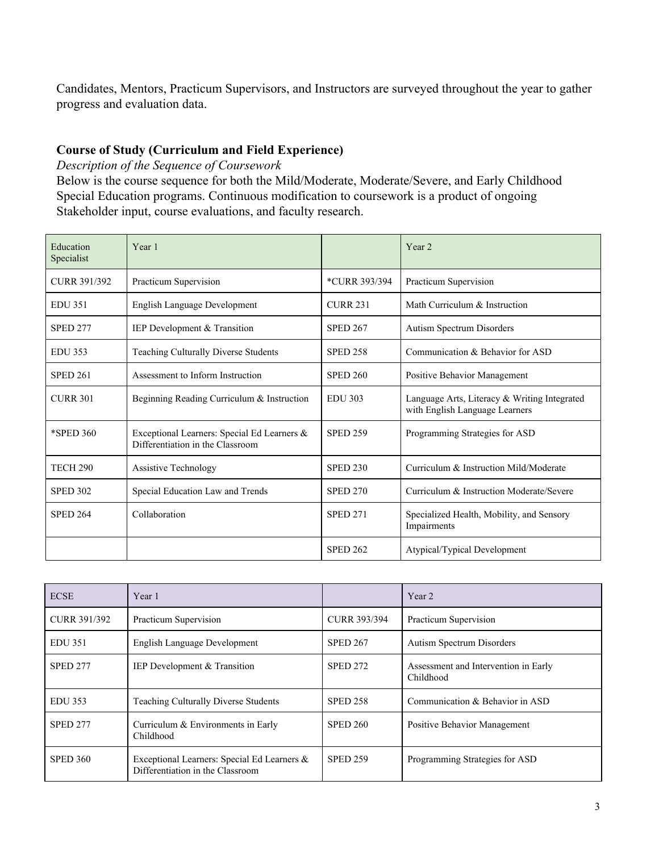Candidates, Mentors, Practicum Supervisors, and Instructors are surveyed throughout the year to gather progress and evaluation data.

# **Course of Study (Curriculum and Field Experience)**

*Description of the Sequence of Coursework*

Below is the course sequence for both the Mild/Moderate, Moderate/Severe, and Early Childhood Special Education programs. Continuous modification to coursework is a product of ongoing Stakeholder input, course evaluations, and faculty research.

| Education<br>Specialist | Year 1                                                                          |                 | Year <sub>2</sub>                                                              |
|-------------------------|---------------------------------------------------------------------------------|-----------------|--------------------------------------------------------------------------------|
| <b>CURR 391/392</b>     | Practicum Supervision                                                           | *CURR 393/394   | Practicum Supervision                                                          |
| <b>EDU 351</b>          | English Language Development                                                    | <b>CURR 231</b> | Math Curriculum & Instruction                                                  |
| <b>SPED 277</b>         | IEP Development & Transition                                                    | <b>SPED 267</b> | Autism Spectrum Disorders                                                      |
| <b>EDU 353</b>          | Teaching Culturally Diverse Students                                            | <b>SPED 258</b> | Communication & Behavior for ASD                                               |
| <b>SPED 261</b>         | Assessment to Inform Instruction                                                | <b>SPED 260</b> | Positive Behavior Management                                                   |
| <b>CURR 301</b>         | Beginning Reading Curriculum & Instruction                                      | <b>EDU 303</b>  | Language Arts, Literacy & Writing Integrated<br>with English Language Learners |
| *SPED 360               | Exceptional Learners: Special Ed Learners &<br>Differentiation in the Classroom | <b>SPED 259</b> | Programming Strategies for ASD                                                 |
| <b>TECH 290</b>         | <b>Assistive Technology</b>                                                     | <b>SPED 230</b> | Curriculum & Instruction Mild/Moderate                                         |
| <b>SPED 302</b>         | Special Education Law and Trends                                                | <b>SPED 270</b> | Curriculum & Instruction Moderate/Severe                                       |
| <b>SPED 264</b>         | Collaboration                                                                   | <b>SPED 271</b> | Specialized Health, Mobility, and Sensory<br>Impairments                       |
|                         |                                                                                 | <b>SPED 262</b> | Atypical/Typical Development                                                   |

| <b>ECSE</b>         | Year 1                                                                          |                     | Year 2                                            |
|---------------------|---------------------------------------------------------------------------------|---------------------|---------------------------------------------------|
| <b>CURR 391/392</b> | Practicum Supervision                                                           | <b>CURR 393/394</b> | Practicum Supervision                             |
| <b>EDU 351</b>      | English Language Development                                                    | <b>SPED 267</b>     | <b>Autism Spectrum Disorders</b>                  |
| <b>SPED 277</b>     | <b>IEP</b> Development & Transition                                             | <b>SPED 272</b>     | Assessment and Intervention in Early<br>Childhood |
| EDU 353             | <b>Teaching Culturally Diverse Students</b>                                     | <b>SPED 258</b>     | Communication & Behavior in ASD                   |
| <b>SPED 277</b>     | Curriculum & Environments in Early<br>Childhood                                 | <b>SPED 260</b>     | Positive Behavior Management                      |
| <b>SPED 360</b>     | Exceptional Learners: Special Ed Learners &<br>Differentiation in the Classroom | <b>SPED 259</b>     | Programming Strategies for ASD                    |